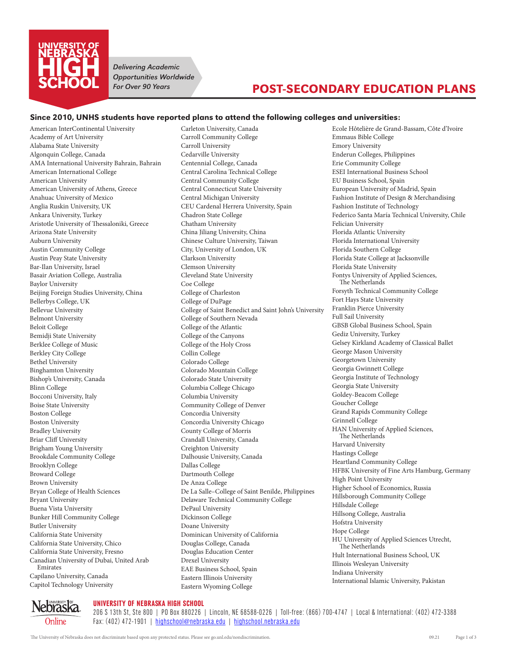

*Delivering Academic Opportunities Worldwide For Over 90 Years*

# POST-SECONDARY EDUCATION PLANS

#### Since 2010, UNHS students have reported plans to attend the following colleges and universities:

American InterContinental University Academy of Art University Alabama State University Algonquin College, Canada AMA International University Bahrain, Bahrain American International College American University American University of Athens, Greece Anahuac University of Mexico Anglia Ruskin University, UK Ankara University, Turkey Aristotle University of Thessaloniki, Greece Arizona State University Auburn University Austin Community College Austin Peay State University Bar-Ilan University, Israel Basair Aviation College, Australia Baylor University Beijing Foreign Studies University, China Bellerbys College, UK Bellevue University Belmont University Beloit College Bemidji State University Berklee College of Music Berkley City College Bethel University Binghamton University Bishop's University, Canada Blinn College Bocconi University, Italy Boise State University Boston College Boston University Bradley University Briar Cliff University Brigham Young University Brookdale Community College Brooklyn College Broward College Brown University Bryan College of Health Sciences Bryant University Buena Vista University Bunker Hill Community College Butler University California State University California State University, Chico California State University, Fresno Canadian University of Dubai, United Arab Emirates Capilano University, Canada Capitol Technology University

Carleton University, Canada Carroll Community College Carroll University Cedarville University Centennial College, Canada Central Carolina Technical College Central Community College Central Connecticut State University Central Michigan University CEU Cardenal Herrera University, Spain Chadron State College Chatham University China Jiliang University, China Chinese Culture University, Taiwan City, University of London, UK Clarkson University Clemson University Cleveland State University Coe College College of Charleston College of DuPage College of Saint Benedict and Saint John's University College of Southern Nevada College of the Atlantic College of the Canyons College of the Holy Cross Collin College Colorado College Colorado Mountain College Colorado State University Columbia College Chicago Columbia University Community College of Denver Concordia University Concordia University Chicago County College of Morris Crandall University, Canada Creighton University Dalhousie University, Canada Dallas College Dartmouth College De Anza College De La Salle–College of Saint Benilde, Philippines Delaware Technical Community College DePaul University Dickinson College Doane University Dominican University of California Douglas College, Canada Douglas Education Center Drexel University EAE Business School, Spain Eastern Illinois University Eastern Wyoming College

Ecole Hôtelière de Grand-Bassam, Côte d'Ivoire Emmaus Bible College Emory University Enderun Colleges, Philippines Erie Community College ESEI International Business School EU Business School, Spain European University of Madrid, Spain Fashion Institute of Design & Merchandising Fashion Institute of Technology Federico Santa María Technical University, Chile Felician University Florida Atlantic University Florida International University Florida Southern College Florida State College at Jacksonville Florida State University Fontys University of Applied Sciences, The Netherlands Forsyth Technical Community College Fort Hays State University Franklin Pierce University Full Sail University GBSB Global Business School, Spain Gediz University, Turkey Gelsey Kirkland Academy of Classical Ballet George Mason University Georgetown University Georgia Gwinnett College Georgia Institute of Technology Georgia State University Goldey-Beacom College Goucher College Grand Rapids Community College Grinnell College HAN University of Applied Sciences, The Netherlands Harvard University Hastings College Heartland Community College HFBK University of Fine Arts Hamburg, Germany High Point University Higher School of Economics, Russia Hillsborough Community College Hillsdale College Hillsong College, Australia Hofstra University Hope College HU University of Applied Sciences Utrecht, The Netherlands Hult International Business School, UK Illinois Wesleyan University Indiana University International Islamic University, Pakistan



UNIVERSITY OF NEBRASKA HIGH SCHOOL

206 S 13th St, Ste 800 | PO Box 880226 | Lincoln, NE 68588-0226 | Toll-free: (866) 700-4747 | Local & International: (402) 472-3388 Fax: (402) 472-1901 | [highschool@nebraska.edu](mailto:highschool@nebraska.edu) | [highschool.nebraska.edu](https://highschool.nebraska.edu)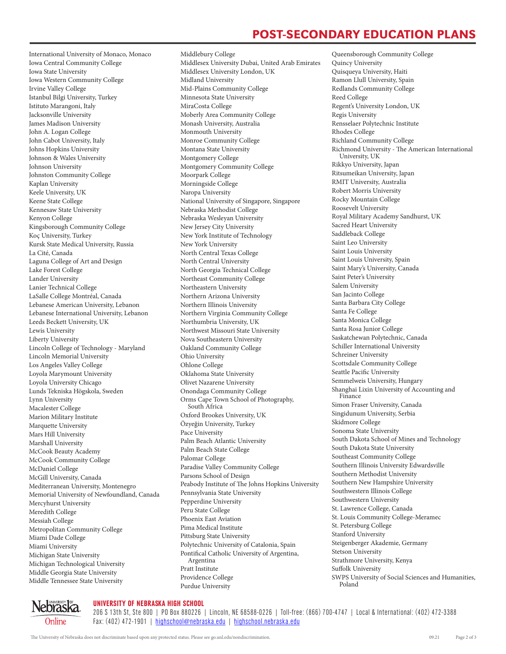## POST-SECONDARY EDUCATION PLANS

International University of Monaco, Monaco Iowa Central Community College Iowa State University Iowa Western Community College Irvine Valley College Istanbul Bilgi University, Turkey Istituto Marangoni, Italy Jacksonville University James Madison University John A. Logan College John Cabot University, Italy Johns Hopkins University Johnson & Wales University Johnson University Johnston Community College Kaplan University Keele University, UK Keene State College Kennesaw State University Kenyon College Kingsborough Community College Koç University, Turkey Kursk State Medical University, Russia La Cité, Canada Laguna College of Art and Design Lake Forest College Lander University Lanier Technical College LaSalle College Montréal, Canada Lebanese American University, Lebanon Lebanese International University, Lebanon Leeds Beckett University, UK Lewis University Liberty University Lincoln College of Technology - Maryland Lincoln Memorial University Los Angeles Valley College Loyola Marymount University Loyola University Chicago Lunds Tekniska Högskola, Sweden Lynn University Macalester College Marion Military Institute Marquette University Mars Hill University Marshall University McCook Beauty Academy McCook Community College McDaniel College McGill University, Canada Mediterranean University, Montenegro Memorial University of Newfoundland, Canada Mercyhurst University Meredith College Messiah College Metropolitan Community College Miami Dade College Miami University Michigan State University Michigan Technological University Middle Georgia State University Middle Tennessee State University

Middlesex University Dubai, United Arab Emirates Middlesex University London, UK Midland University Mid-Plains Community College Minnesota State University MiraCosta College Moberly Area Community College Monash University, Australia Monmouth University Monroe Community College Montana State University Montgomery College Montgomery Community College Moorpark College Morningside College Naropa University National University of Singapore, Singapore Nebraska Methodist College Nebraska Wesleyan University New Jersey City University New York Institute of Technology New York University North Central Texas College North Central University North Georgia Technical College Northeast Community College Northeastern University Northern Arizona University Northern Illinois University Northern Virginia Community College Northumbria University, UK Northwest Missouri State University Nova Southeastern University Oakland Community College Ohio University Ohlone College Oklahoma State University Olivet Nazarene University Onondaga Community College Orms Cape Town School of Photography, South Africa Oxford Brookes University, UK Özyeğin University, Turkey Pace University Palm Beach Atlantic University Palm Beach State College Palomar College Paradise Valley Community College Parsons School of Design Peabody Institute of The Johns Hopkins University Pennsylvania State University Pepperdine University Peru State College Phoenix East Aviation Pima Medical Institute Pittsburg State University Polytechnic University of Catalonia, Spain Pontifical Catholic University of Argentina, Argentina Pratt Institute Providence College Purdue University

Middlebury College

Queensborough Community College Quincy University Quisqueya University, Haiti Ramon Llull University, Spain Redlands Community College Reed College Regent's University London, UK Regis University Rensselaer Polytechnic Institute Rhodes College Richland Community College Richmond University - The American International University, UK Rikkyo University, Japan Ritsumeikan University, Japan RMIT University, Australia Robert Morris University Rocky Mountain College Roosevelt University Royal Military Academy Sandhurst, UK Sacred Heart University Saddleback College Saint Leo University Saint Louis University Saint Louis University, Spain Saint Mary's University, Canada Saint Peter's University Salem University San Jacinto College Santa Barbara City College Santa Fe College Santa Monica College Santa Rosa Junior College Saskatchewan Polytechnic, Canada Schiller International University Schreiner University Scottsdale Community College Seattle Pacific University Semmelweis University, Hungary Shanghai Lixin University of Accounting and Finance Simon Fraser University, Canada Singidunum University, Serbia Skidmore College Sonoma State University South Dakota School of Mines and Technology South Dakota State University Southeast Community College Southern Illinois University Edwardsville Southern Methodist University Southern New Hampshire University Southwestern Illinois College Southwestern University St. Lawrence College, Canada St. Louis Community College-Meramec St. Petersburg College Stanford University Steigenberger Akademie, Germany Stetson University Strathmore University, Kenya Suffolk University SWPS University of Social Sciences and Humanities, Poland

**Nebraska** Online

UNIVERSITY OF NEBRASKA HIGH SCHOOL 206 S 13th St, Ste 800 | PO Box 880226 | Lincoln, NE 68588-0226 | Toll-free: (866) 700-4747 | Local & International: (402) 472-3388

The University of Nebraska does not discriminate based upon any protected status. Please see go.unl.edu/nondiscrimination. 09.21 Page 2 of 3

Fax: (402) 472-1901 | [highschool@nebraska.edu](mailto:highschool@nebraska.edu) | [highschool.nebraska.edu](https://highschool.nebraska.edu)